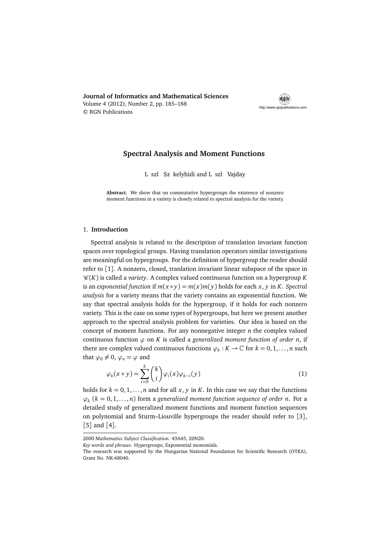**Journal of Informatics and Mathematical Sciences** Volume 4 (2012), Number 2, pp. 185–188 © RGN Publications



# **Spectral Analysis and Moment Functions**

L szl Sz kelyhidi and L szl Vajday

**Abstract.** We show that on commutative hypergroups the existence of nonzero moment functions in a variety is closely related to spectral analysis for the variety.

## 1. **Introduction**

Spectral analysis is related to the description of translation invariant function spaces over topological groups. Having translation operators similar investigations are meaningful on hypergroups. For the definition of hypergroup the reader should refer to [1]. A nonzero, closed, tranlation invariant linear subspace of the space in  $\mathcal{C}(K)$  is called a *variety*. A complex valued continuous function on a hypergroup K is an *exponential function* if  $m(x * y) = m(x)m(y)$  holds for each x, y in *K*. *Spectral analysis* for a variety means that the variety contains an exponential function. We say that spectral analysis holds for the hypergroup, if it holds for each nonzero variety. This is the case on some types of hypergroups, but here we present another approach to the spectral analysis problem for varieties. Our idea is based on the concept of moment functions. For any nonnegative integer *n* the complex valued continuous function  $\varphi$  on *K* is called a generalized moment function of order *n*, if there are complex valued continuous functions  $\varphi_k : K \to \mathbb{C}$  for  $k = 0, 1, \ldots, n$  such that  $\varphi_0 \neq 0$ ,  $\varphi_n = \varphi$  and

$$
\varphi_k(x * y) = \sum_{i=0}^k {k \choose i} \varphi_i(x) \varphi_{k-i}(y)
$$
\n(1)

holds for  $k = 0, 1, \ldots, n$  and for all  $x, y$  in  $K$ . In this case we say that the functions *ϕk* (*k* = 0, 1, . . . , *n*) form a *generalized moment function sequence of order n*. For a detailed study of generalized moment functions and moment function sequences on polynomial and Sturm–Liouville hypergroups the reader should refer to [3], [5] and [4].

<sup>2000</sup> *Mathematics Subject Classification.* 43A45, 20N20.

*Key words and phrases.* Hypergroups; Exponential monomials.

The research was supported by the Hungarian National Foundation for Scientific Research (OTKA), Grant No. NK-68040.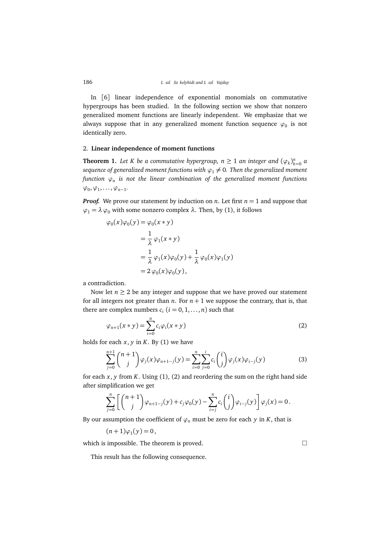In [6] linear independence of exponential monomials on commutative hypergroups has been studied. In the following section we show that nonzero generalized moment functions are linearly independent. We emphasize that we always suppose that in any generalized moment function sequence  $\varphi_0$  is not identically zero.

### 2. **Linear independence of moment functions**

**Theorem 1.** Let *K* be a commutative hypergroup,  $n \geq 1$  an integer and  $(\varphi_k)_{k=0}^n$  a *sequence of generalized moment functions with*  $\varphi_1 \neq 0$ *. Then the generalized moment function ϕ<sup>n</sup> is not the linear combination of the generalized moment functions*  $\varphi_0, \varphi_1, \ldots, \varphi_{n-1}.$ 

*Proof.* We prove our statement by induction on *n*. Let first  $n = 1$  and suppose that  $\varphi$ <sub>1</sub> =  $\lambda \varphi$ <sup>0</sup> with some nonzero complex  $\lambda$ . Then, by (1), it follows

$$
\varphi_0(x)\varphi_0(y) = \varphi_0(x * y)
$$
  
=  $\frac{1}{\lambda} \varphi_1(x * y)$   
=  $\frac{1}{\lambda} \varphi_1(x)\varphi_0(y) + \frac{1}{\lambda} \varphi_0(x)\varphi_1(y)$   
=  $2 \varphi_0(x)\varphi_0(y)$ ,

a contradiction.

Now let  $n \geq 2$  be any integer and suppose that we have proved our statement for all integers not greater than  $n$ . For  $n + 1$  we suppose the contrary, that is, that there are complex numbers  $c_i$   $(i = 0, 1, ..., n)$  such that

$$
\varphi_{n+1}(x*y) = \sum_{i=0}^{n} c_i \varphi_i(x*y)
$$
\n(2)

holds for each  $x$ ,  $y$  in  $K$ . By (1) we have

$$
\sum_{j=0}^{n+1} {n+1 \choose j} \varphi_j(x) \varphi_{n+1-j}(y) = \sum_{i=0}^{n} \sum_{j=0}^{i} c_i {i \choose j} \varphi_j(x) \varphi_{i-j}(y)
$$
(3)

for each  $x$ ,  $y$  from  $K$ . Using  $(1)$ ,  $(2)$  and reordering the sum on the right hand side after simplification we get

$$
\sum_{j=0}^n \left[ \binom{n+1}{j} \varphi_{n+1-j}(y) + c_j \varphi_0(y) - \sum_{i=j}^n c_i \binom{i}{j} \varphi_{i-j}(y) \right] \varphi_j(x) = 0.
$$

By our assumption the coefficient of  $\varphi$ <sup>*n*</sup> must be zero for each *y* in *K*, that is

$$
(n+1)\varphi_1(y)=0,
$$

which is impossible. The theorem is proved.  $\Box$ 

This result has the following consequence.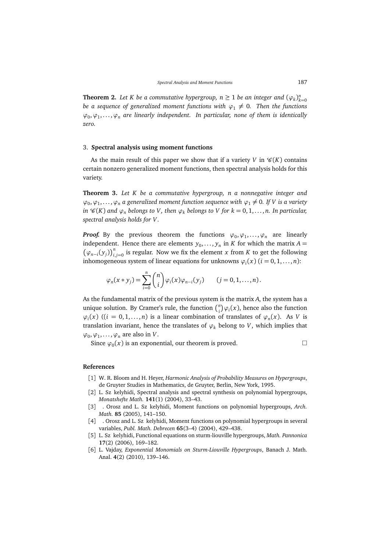**Theorem 2.** Let *K* be a commutative hypergroup,  $n \geq 1$  be an integer and  $(\varphi_k)_{k=0}^n$ *be a sequence of generalized moment functions with*  $\varphi_1 \neq 0$ . Then the functions *ϕ*0 ,*ϕ*<sup>1</sup> , . . . ,*ϕ<sup>n</sup> are linearly independent. In particular, none of them is identically zero.*

## 3. **Spectral analysis using moment functions**

As the main result of this paper we show that if a variety *V* in  $\mathcal{C}(K)$  contains certain nonzero generalized moment functions, then spectral analysis holds for this variety.

**Theorem 3.** *Let K be a commutative hypergroup, n a nonnegative integer and*  $\varphi_0, \varphi_1, \ldots, \varphi_n$  a generalized moment function sequence with  $\varphi_1 \neq 0$ . If V is a variety *in*  $\mathcal{C}(K)$  *and*  $\varphi_n$  *belongs to V*, *then*  $\varphi_k$  *belongs to V for*  $k = 0, 1, ..., n$ *. In particular, spectral analysis holds for V.*

*Proof.* By the previous theorem the functions  $\varphi_0, \varphi_1, \ldots, \varphi_n$  are linearly independent. Hence there are elements  $y_0, \ldots, y_n$  in *K* for which the matrix  $A = (y_0, y_0)^n$  is gravity. Never we fix the element *y* from *K* to get the following  $(\varphi_{n-i}(y_j))_{i,j=0}^n$  is regular. Now we fix the element *x* from *K* to get the following inhomogeneous system of linear equations for unknowns  $\varphi_i(x)$  ( $i = 0, 1, ..., n$ ):

$$
\varphi_n(x*y_j)=\sum_{i=0}^n\binom{n}{i}\varphi_i(x)\varphi_{n-i}(y_j)\qquad (j=0,1,\ldots,n).
$$

As the fundamental matrix of the previous system is the matrix *A*, the system has a unique solution. By Cramer's rule, the function  $\binom{n}{i}$  $\partial \varphi_i(x)$ , hence also the function  $\varphi_i(x)$  ((*i* = 0, 1, ..., *n*) is a linear combination of translates of  $\varphi_n(x)$ . As *V* is translation invariant, hence the translates of  $\varphi_k$  belong to *V*, which implies that  $\varphi_0, \varphi_1, \ldots, \varphi_n$  are also in *V*.

Since  $\varphi_0(x)$  is an exponential, our theorem is proved.

### **References**

- [1] W. R. Bloom and H. Heyer, *Harmonic Analysis of Probability Measures on Hypergroups*, de Gruyter Studies in Mathematics, de Gruyter, Berlin, New York, 1995.
- [2] L. Sz kelyhidi, Spectral analysis and spectral synthesis on polynomial hypergroups, *Monatshefte Math.* **141**(1) (2004), 33–43.
- [3] Crosz and L. Sz kelyhidi, Moment functions on polynomial hypergroups, *Arch. Math.* **85** (2005), 141–150.
- [4] Crosz and L. Sz kelyhidi, Moment functions on polynomial hypergroups in several variables, *Publ. Math. Debrecen* **65**(3–4) (2004), 429–438.
- [5] L. Sz kelyhidi, Functional equations on sturm-liouville hypergroups, *Math. Pannonica* **17**(2) (2006), 169–182.
- [6] L. Vajday, *Exponential Monomials on Sturm-Liouville Hypergroups*, Banach J. Math. Anal. **4**(2) (2010), 139–146.